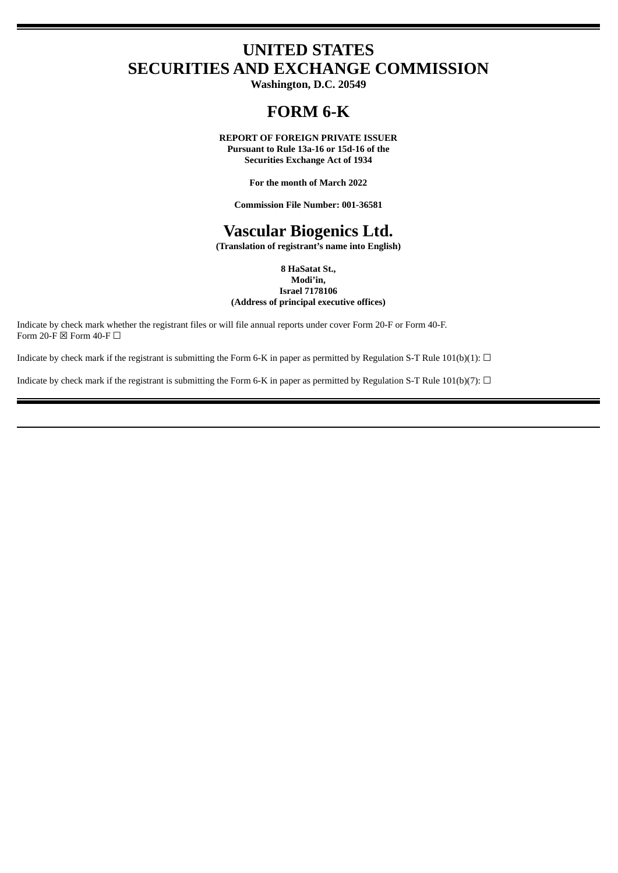# **UNITED STATES SECURITIES AND EXCHANGE COMMISSION**

**Washington, D.C. 20549**

# **FORM 6-K**

**REPORT OF FOREIGN PRIVATE ISSUER Pursuant to Rule 13a-16 or 15d-16 of the Securities Exchange Act of 1934**

**For the month of March 2022**

**Commission File Number: 001-36581**

# **Vascular Biogenics Ltd.**

**(Translation of registrant's name into English)**

**8 HaSatat St., Modi'in, Israel 7178106 (Address of principal executive offices)**

Indicate by check mark whether the registrant files or will file annual reports under cover Form 20-F or Form 40-F. Form 20-F  $\boxtimes$  Form 40-F  $\Box$ 

Indicate by check mark if the registrant is submitting the Form 6-K in paper as permitted by Regulation S-T Rule 101(b)(1):  $\Box$ 

Indicate by check mark if the registrant is submitting the Form 6-K in paper as permitted by Regulation S-T Rule 101(b)(7):  $\Box$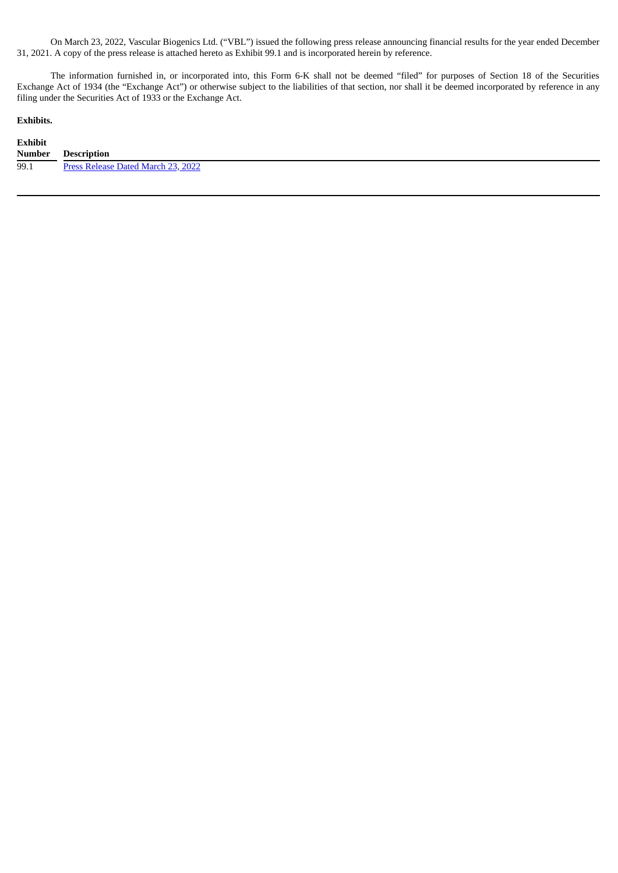On March 23, 2022, Vascular Biogenics Ltd. ("VBL") issued the following press release announcing financial results for the year ended December 31, 2021. A copy of the press release is attached hereto as Exhibit 99.1 and is incorporated herein by reference.

The information furnished in, or incorporated into, this Form 6-K shall not be deemed "filed" for purposes of Section 18 of the Securities Exchange Act of 1934 (the "Exchange Act") or otherwise subject to the liabilities of that section, nor shall it be deemed incorporated by reference in any filing under the Securities Act of 1933 or the Exchange Act.

### **Exhibits.**

| <b>Exhibit</b> |                                    |
|----------------|------------------------------------|
| Number         | Description                        |
| 99.1           | Press Release Dated March 23, 2022 |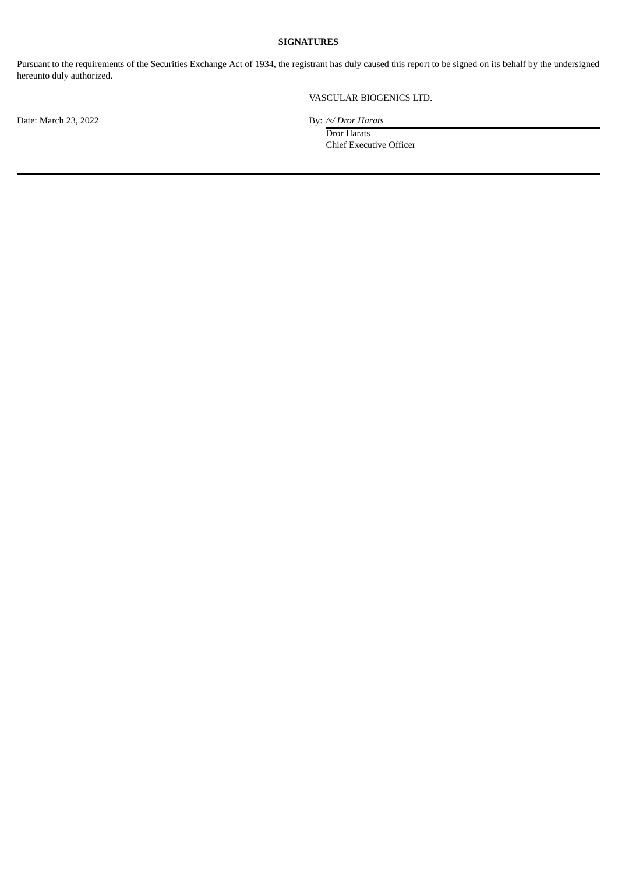## **SIGNATURES**

Pursuant to the requirements of the Securities Exchange Act of 1934, the registrant has duly caused this report to be signed on its behalf by the undersigned hereunto duly authorized.

# VASCULAR BIOGENICS LTD.

Date: March 23, 2022 By: /s/ *Dror Harats* 

Dror Harats Chief Executive Officer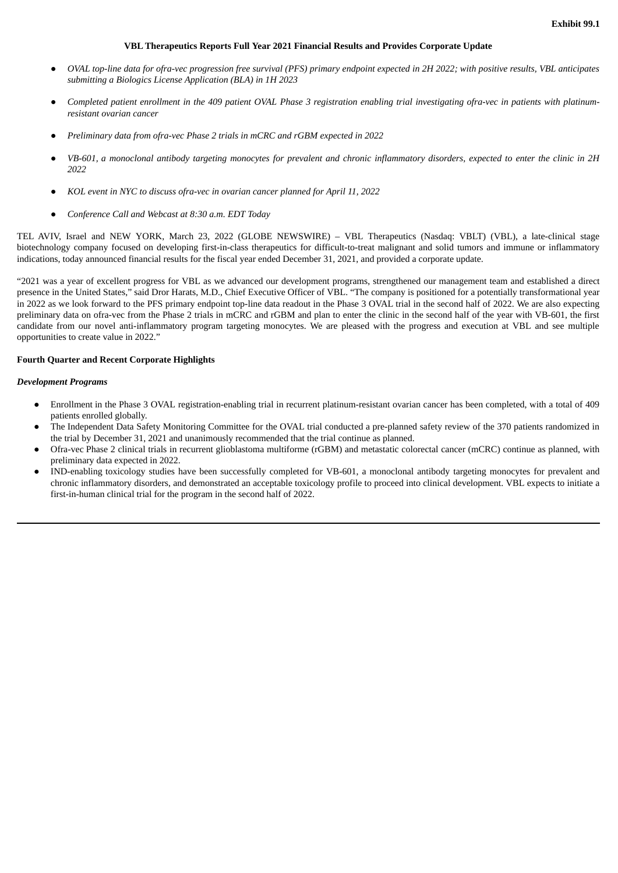#### **VBL Therapeutics Reports Full Year 2021 Financial Results and Provides Corporate Update**

- <span id="page-3-0"></span>OVAL top-line data for ofra-vec progression free survival (PFS) primary endpoint expected in 2H 2022; with positive results, VBL anticipates *submitting a Biologics License Application (BLA) in 1H 2023*
- Completed patient enrollment in the 409 patient OVAL Phase 3 registration engbling trial investigating ofra-vec in patients with platinum*resistant ovarian cancer*
- *Preliminary data from ofra-vec Phase 2 trials in mCRC and rGBM expected in 2022*
- VB-601, a monoclonal antibody targeting monocytes for prevalent and chronic inflammatory disorders, expected to enter the clinic in 2H *2022*
- *KOL event in NYC to discuss ofra-vec in ovarian cancer planned for April 11, 2022*
- *Conference Call and Webcast at 8:30 a.m. EDT Today*

TEL AVIV, Israel and NEW YORK, March 23, 2022 (GLOBE NEWSWIRE) – VBL Therapeutics (Nasdaq: VBLT) (VBL), a late-clinical stage biotechnology company focused on developing first-in-class therapeutics for difficult-to-treat malignant and solid tumors and immune or inflammatory indications, today announced financial results for the fiscal year ended December 31, 2021, and provided a corporate update.

"2021 was a year of excellent progress for VBL as we advanced our development programs, strengthened our management team and established a direct presence in the United States," said Dror Harats, M.D., Chief Executive Officer of VBL. "The company is positioned for a potentially transformational year in 2022 as we look forward to the PFS primary endpoint top-line data readout in the Phase 3 OVAL trial in the second half of 2022. We are also expecting preliminary data on ofra-vec from the Phase 2 trials in mCRC and rGBM and plan to enter the clinic in the second half of the year with VB-601, the first candidate from our novel anti-inflammatory program targeting monocytes. We are pleased with the progress and execution at VBL and see multiple opportunities to create value in 2022."

### **Fourth Quarter and Recent Corporate Highlights**

#### *Development Programs*

- Enrollment in the Phase 3 OVAL registration-enabling trial in recurrent platinum-resistant ovarian cancer has been completed, with a total of 409 patients enrolled globally.
- The Independent Data Safety Monitoring Committee for the OVAL trial conducted a pre-planned safety review of the 370 patients randomized in the trial by December 31, 2021 and unanimously recommended that the trial continue as planned.
- Ofra-vec Phase 2 clinical trials in recurrent glioblastoma multiforme (rGBM) and metastatic colorectal cancer (mCRC) continue as planned, with preliminary data expected in 2022.
- IND-enabling toxicology studies have been successfully completed for VB-601, a monoclonal antibody targeting monocytes for prevalent and chronic inflammatory disorders, and demonstrated an acceptable toxicology profile to proceed into clinical development. VBL expects to initiate a first-in-human clinical trial for the program in the second half of 2022.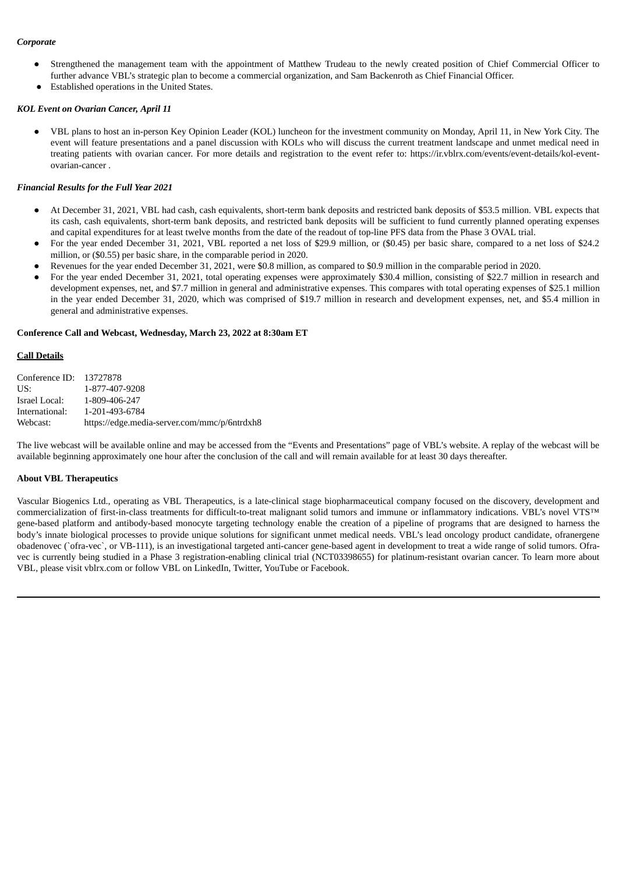### *Corporate*

- Strengthened the management team with the appointment of Matthew Trudeau to the newly created position of Chief Commercial Officer to further advance VBL's strategic plan to become a commercial organization, and Sam Backenroth as Chief Financial Officer.
- Established operations in the United States.

#### *KOL Event on Ovarian Cancer, April 11*

● VBL plans to host an in-person Key Opinion Leader (KOL) luncheon for the investment community on Monday, April 11, in New York City. The event will feature presentations and a panel discussion with KOLs who will discuss the current treatment landscape and unmet medical need in treating patients with ovarian cancer. For more details and registration to the event refer to: https://ir.vblrx.com/events/event-details/kol-eventovarian-cancer .

#### *Financial Results for the Full Year 2021*

- At December 31, 2021, VBL had cash, cash equivalents, short-term bank deposits and restricted bank deposits of \$53.5 million. VBL expects that its cash, cash equivalents, short-term bank deposits, and restricted bank deposits will be sufficient to fund currently planned operating expenses and capital expenditures for at least twelve months from the date of the readout of top-line PFS data from the Phase 3 OVAL trial.
- For the year ended December 31, 2021, VBL reported a net loss of \$29.9 million, or (\$0.45) per basic share, compared to a net loss of \$24.2 million, or (\$0.55) per basic share, in the comparable period in 2020.
- Revenues for the year ended December 31, 2021, were \$0.8 million, as compared to \$0.9 million in the comparable period in 2020.
- For the year ended December 31, 2021, total operating expenses were approximately \$30.4 million, consisting of \$22.7 million in research and development expenses, net, and \$7.7 million in general and administrative expenses. This compares with total operating expenses of \$25.1 million in the year ended December 31, 2020, which was comprised of \$19.7 million in research and development expenses, net, and \$5.4 million in general and administrative expenses.

#### **Conference Call and Webcast, Wednesday, March 23, 2022 at 8:30am ET**

#### **Call Details**

| Conference ID: 13727878 |                                              |
|-------------------------|----------------------------------------------|
| US:                     | 1-877-407-9208                               |
| Israel Local:           | 1-809-406-247                                |
| International:          | 1-201-493-6784                               |
| Webcast:                | https://edge.media-server.com/mmc/p/6ntrdxh8 |

The live webcast will be available online and may be accessed from the "Events and Presentations" page of VBL's website. A replay of the webcast will be available beginning approximately one hour after the conclusion of the call and will remain available for at least 30 days thereafter.

#### **About VBL Therapeutics**

Vascular Biogenics Ltd., operating as VBL Therapeutics, is a late-clinical stage biopharmaceutical company focused on the discovery, development and commercialization of first-in-class treatments for difficult-to-treat malignant solid tumors and immune or inflammatory indications. VBL's novel VTS™ gene-based platform and antibody-based monocyte targeting technology enable the creation of a pipeline of programs that are designed to harness the body's innate biological processes to provide unique solutions for significant unmet medical needs. VBL's lead oncology product candidate, ofranergene obadenovec (`ofra-vec`, or VB-111), is an investigational targeted anti-cancer gene-based agent in development to treat a wide range of solid tumors. Ofravec is currently being studied in a Phase 3 registration-enabling clinical trial (NCT03398655) for platinum-resistant ovarian cancer. To learn more about VBL, please visit vblrx.com or follow VBL on LinkedIn, Twitter, YouTube or Facebook.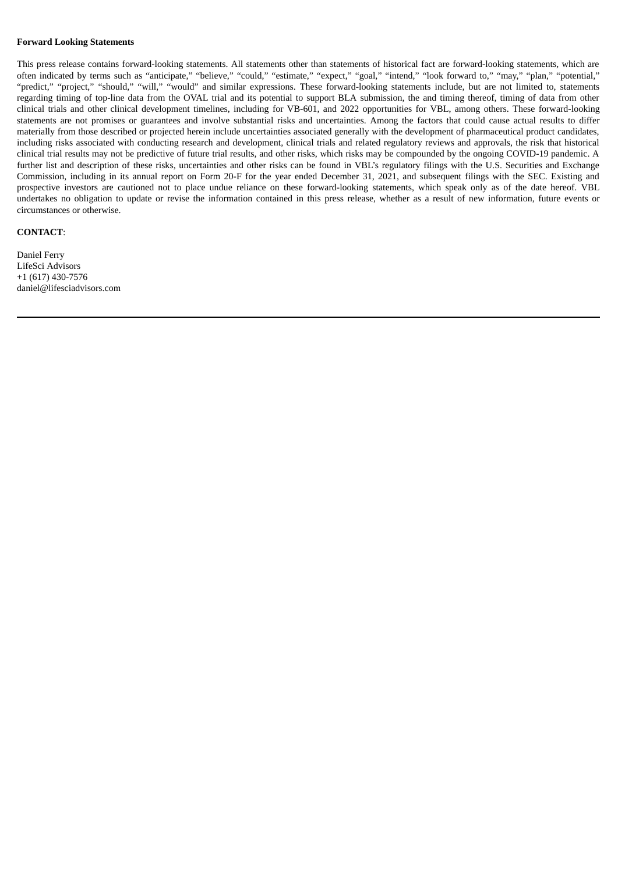### **Forward Looking Statements**

This press release contains forward-looking statements. All statements other than statements of historical fact are forward-looking statements, which are often indicated by terms such as "anticipate," "believe," "could," "estimate," "expect," "goal," "intend," "look forward to," "may," "plan," "potential," "predict," "project," "should," "will," "would" and similar expressions. These forward-looking statements include, but are not limited to, statements regarding timing of top-line data from the OVAL trial and its potential to support BLA submission, the and timing thereof, timing of data from other clinical trials and other clinical development timelines, including for VB-601, and 2022 opportunities for VBL, among others. These forward-looking statements are not promises or guarantees and involve substantial risks and uncertainties. Among the factors that could cause actual results to differ materially from those described or projected herein include uncertainties associated generally with the development of pharmaceutical product candidates, including risks associated with conducting research and development, clinical trials and related regulatory reviews and approvals, the risk that historical clinical trial results may not be predictive of future trial results, and other risks, which risks may be compounded by the ongoing COVID-19 pandemic. A further list and description of these risks, uncertainties and other risks can be found in VBL's regulatory filings with the U.S. Securities and Exchange Commission, including in its annual report on Form 20-F for the year ended December 31, 2021, and subsequent filings with the SEC. Existing and prospective investors are cautioned not to place undue reliance on these forward-looking statements, which speak only as of the date hereof. VBL undertakes no obligation to update or revise the information contained in this press release, whether as a result of new information, future events or circumstances or otherwise.

#### **CONTACT**:

Daniel Ferry LifeSci Advisors +1 (617) 430-7576 daniel@lifesciadvisors.com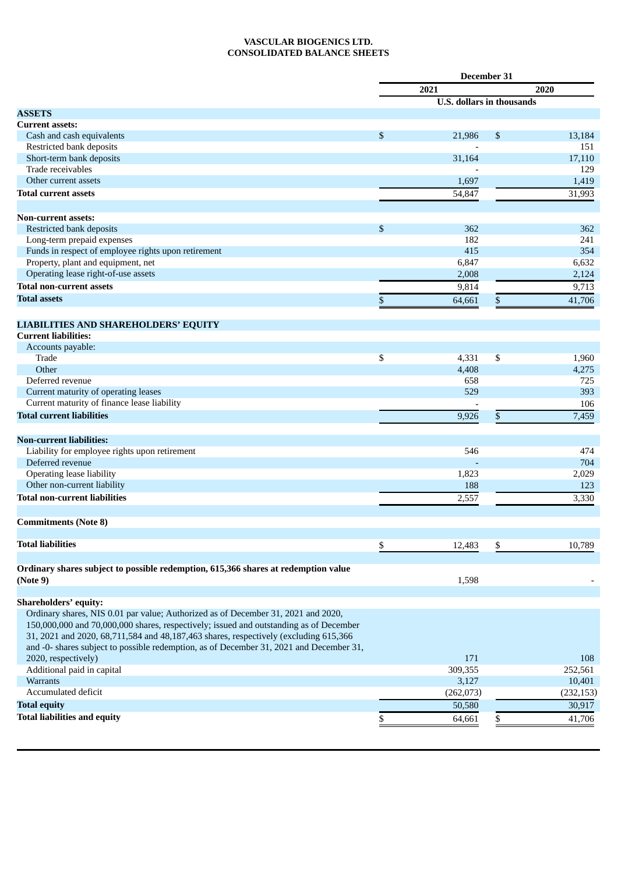## **VASCULAR BIOGENICS LTD. CONSOLIDATED BALANCE SHEETS**

|                                                                                         |      | December 31                      |      |            |
|-----------------------------------------------------------------------------------------|------|----------------------------------|------|------------|
|                                                                                         | 2021 |                                  | 2020 |            |
|                                                                                         |      | <b>U.S.</b> dollars in thousands |      |            |
| <b>ASSETS</b>                                                                           |      |                                  |      |            |
| <b>Current assets:</b>                                                                  |      |                                  |      |            |
| Cash and cash equivalents                                                               | \$   | 21,986                           | \$   | 13,184     |
| Restricted bank deposits                                                                |      |                                  |      | 151        |
| Short-term bank deposits                                                                |      | 31,164                           |      | 17,110     |
| Trade receivables                                                                       |      |                                  |      | 129        |
| Other current assets                                                                    |      | 1,697                            |      | 1,419      |
| <b>Total current assets</b>                                                             |      | 54,847                           |      | 31,993     |
|                                                                                         |      |                                  |      |            |
| <b>Non-current assets:</b>                                                              |      |                                  |      |            |
| Restricted bank deposits                                                                | \$   | 362                              |      | 362        |
| Long-term prepaid expenses                                                              |      | 182                              |      | 241        |
| Funds in respect of employee rights upon retirement                                     |      | 415                              |      | 354        |
| Property, plant and equipment, net                                                      |      | 6,847                            |      | 6,632      |
| Operating lease right-of-use assets                                                     |      | 2,008                            |      | 2,124      |
| <b>Total non-current assets</b>                                                         |      | 9,814                            |      | 9,713      |
| <b>Total assets</b>                                                                     | \$   | 64,661                           | \$   | 41,706     |
|                                                                                         |      |                                  |      |            |
| <b>LIABILITIES AND SHAREHOLDERS' EQUITY</b>                                             |      |                                  |      |            |
| <b>Current liabilities:</b>                                                             |      |                                  |      |            |
| Accounts payable:                                                                       |      |                                  |      |            |
| Trade                                                                                   | \$   | 4,331                            | \$   | 1,960      |
| Other                                                                                   |      | 4,408                            |      | 4,275      |
| Deferred revenue                                                                        |      | 658                              |      | 725        |
| Current maturity of operating leases                                                    |      | 529                              |      | 393        |
| Current maturity of finance lease liability                                             |      |                                  |      | 106        |
| <b>Total current liabilities</b>                                                        |      | 9,926                            | \$   | 7,459      |
|                                                                                         |      |                                  |      |            |
| <b>Non-current liabilities:</b>                                                         |      |                                  |      |            |
| Liability for employee rights upon retirement                                           |      | 546                              |      | 474        |
| Deferred revenue                                                                        |      |                                  |      | 704        |
| Operating lease liability                                                               |      | 1,823                            |      | 2,029      |
| Other non-current liability                                                             |      | 188                              |      | 123        |
| <b>Total non-current liabilities</b>                                                    |      | 2,557                            |      | 3,330      |
| <b>Commitments (Note 8)</b>                                                             |      |                                  |      |            |
|                                                                                         |      |                                  |      |            |
| <b>Total liabilities</b>                                                                | \$   | 12,483                           | \$   | 10,789     |
|                                                                                         |      |                                  |      |            |
| Ordinary shares subject to possible redemption, 615,366 shares at redemption value      |      |                                  |      |            |
| (Note 9)                                                                                |      | 1,598                            |      |            |
|                                                                                         |      |                                  |      |            |
| Shareholders' equity:                                                                   |      |                                  |      |            |
| Ordinary shares, NIS 0.01 par value; Authorized as of December 31, 2021 and 2020,       |      |                                  |      |            |
| 150,000,000 and 70,000,000 shares, respectively; issued and outstanding as of December  |      |                                  |      |            |
| 31, 2021 and 2020, 68,711,584 and 48,187,463 shares, respectively (excluding 615,366    |      |                                  |      |            |
| and -0- shares subject to possible redemption, as of December 31, 2021 and December 31, |      |                                  |      |            |
| 2020, respectively)                                                                     |      | 171                              |      | 108        |
| Additional paid in capital                                                              |      | 309,355                          |      | 252,561    |
| Warrants                                                                                |      | 3,127                            |      | 10,401     |
| Accumulated deficit                                                                     |      | (262, 073)                       |      | (232, 153) |
| <b>Total equity</b>                                                                     |      | 50,580                           |      | 30,917     |
| <b>Total liabilities and equity</b>                                                     | \$   | 64,661                           |      | 41,706     |
|                                                                                         |      |                                  |      |            |